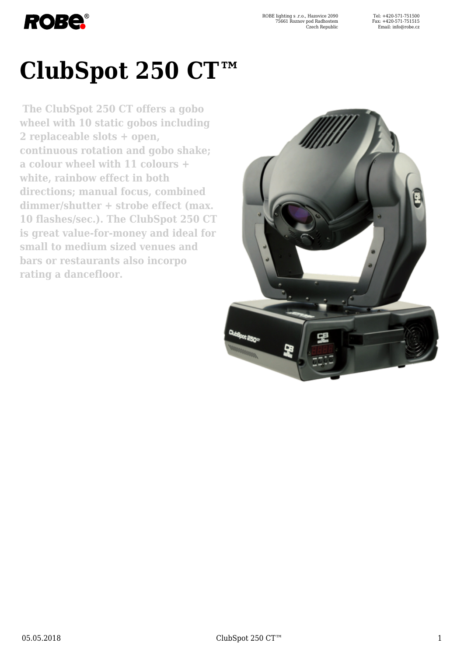

ROBE lighting s .r.o., Hazovice 2090 75661 Roznov pod Radhostem Czech Republic

# **ClubSpot 250 CT™**

**The ClubSpot 250 CT offers a gobo wheel with 10 static gobos including 2 replaceable slots + open, continuous rotation and gobo shake; a colour wheel with 11 colours + white, rainbow effect in both directions; manual focus, combined dimmer/shutter + strobe effect (max. 10 flashes/sec.). The ClubSpot 250 CT is great value-for-money and ideal for small to medium sized venues and bars or restaurants also incorpo rating a dancefloor.**

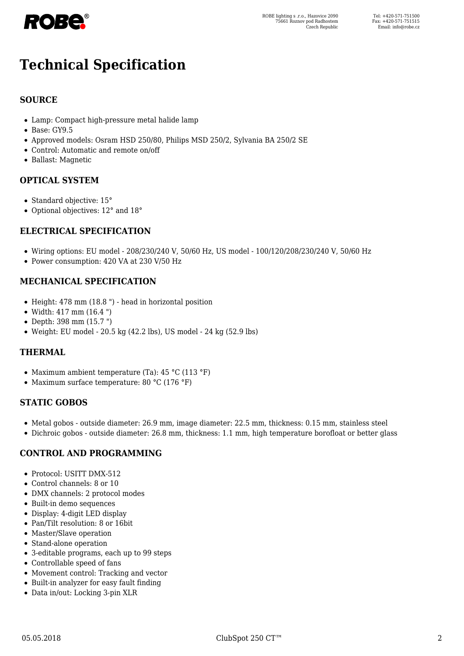

# **Technical Specification**

## **SOURCE**

- Lamp: Compact high-pressure metal halide lamp
- Base: GY9.5
- Approved models: Osram HSD 250/80, Philips MSD 250/2, Sylvania BA 250/2 SE
- Control: Automatic and remote on/off
- Ballast: Magnetic

## **OPTICAL SYSTEM**

- Standard objective: 15°
- Optional objectives: 12° and 18°

#### **ELECTRICAL SPECIFICATION**

- Wiring options: EU model 208/230/240 V, 50/60 Hz, US model 100/120/208/230/240 V, 50/60 Hz
- Power consumption: 420 VA at 230 V/50 Hz

#### **MECHANICAL SPECIFICATION**

- $\bullet$  Height: 478 mm (18.8 ") head in horizontal position
- Width: 417 mm (16.4 ")
- Depth: 398 mm (15.7 ")
- Weight: EU model 20.5 kg (42.2 lbs), US model 24 kg (52.9 lbs)

#### **THERMAL**

- Maximum ambient temperature (Ta): 45 °C (113 °F)
- Maximum surface temperature:  $80 °C$  (176 °F)

#### **STATIC GOBOS**

- Metal gobos outside diameter: 26.9 mm, image diameter: 22.5 mm, thickness: 0.15 mm, stainless steel
- Dichroic gobos outside diameter: 26.8 mm, thickness: 1.1 mm, high temperature borofloat or better glass

#### **CONTROL AND PROGRAMMING**

- Protocol: USITT DMX-512
- Control channels: 8 or 10
- DMX channels: 2 protocol modes
- Built-in demo sequences
- Display: 4-digit LED display
- Pan/Tilt resolution: 8 or 16bit
- Master/Slave operation
- Stand-alone operation
- 3-editable programs, each up to 99 steps
- Controllable speed of fans
- Movement control: Tracking and vector
- Built-in analyzer for easy fault finding
- Data in/out: Locking 3-pin XLR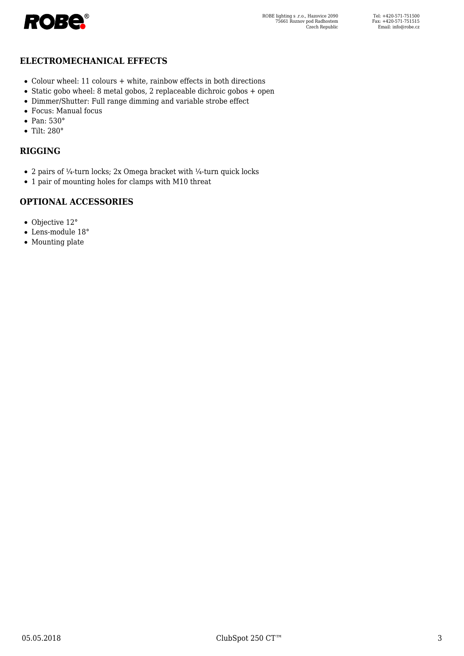

#### **ELECTROMECHANICAL EFFECTS**

- Colour wheel: 11 colours + white, rainbow effects in both directions
- Static gobo wheel: 8 metal gobos, 2 replaceable dichroic gobos + open
- Dimmer/Shutter: Full range dimming and variable strobe effect
- Focus: Manual focus
- Pan: 530°
- Tilt: 280°

#### **RIGGING**

- 2 pairs of  $\frac{1}{4}$ -turn locks; 2x Omega bracket with  $\frac{1}{4}$ -turn quick locks
- 1 pair of mounting holes for clamps with M10 threat

## **OPTIONAL ACCESSORIES**

- Objective 12°
- Lens-module 18°
- Mounting plate